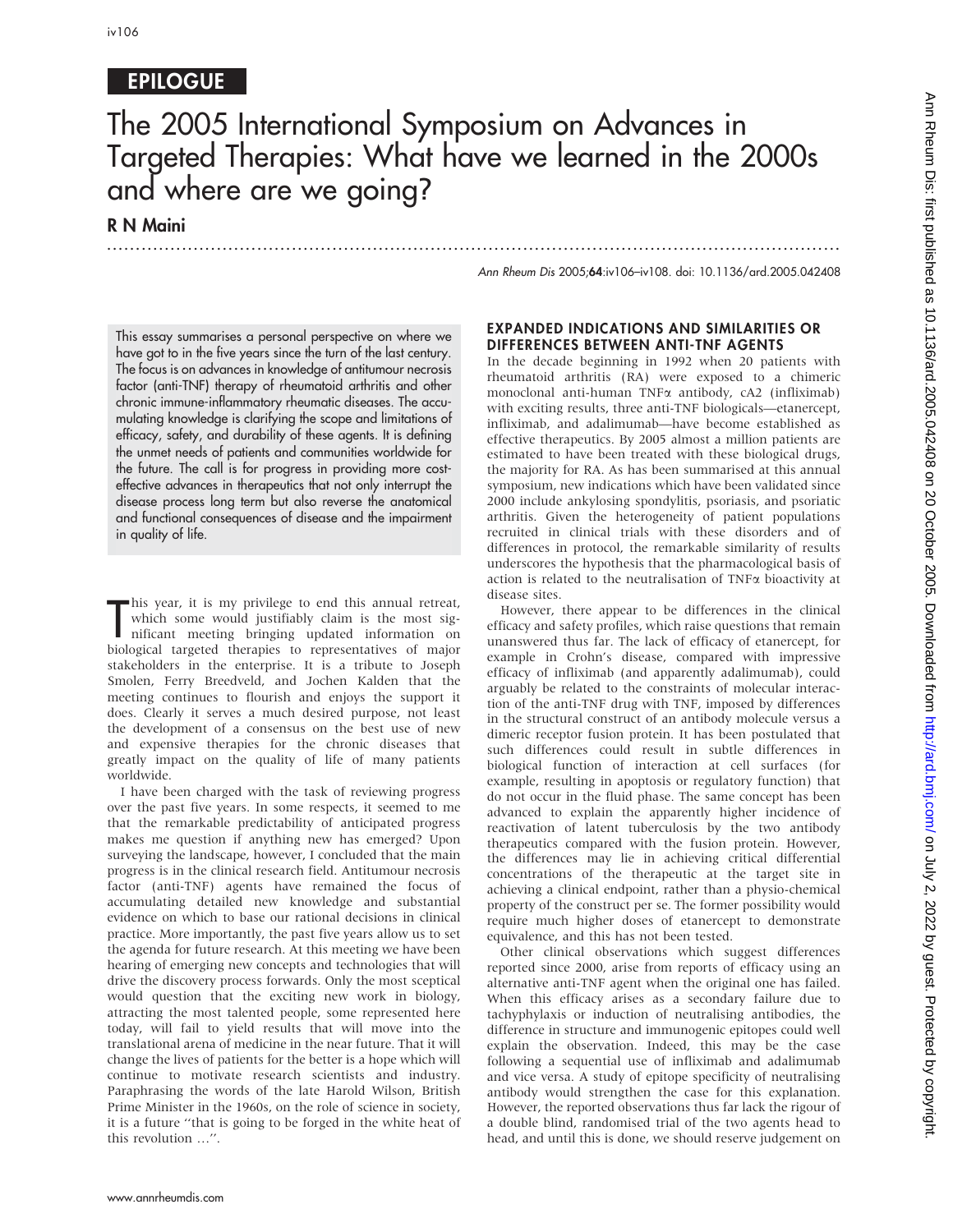## EPILOGUE

# The 2005 International Symposium on Advances in Targeted Therapies: What have we learned in the 2000s and where are we going?

...............................................................................................................................

R N Maini

Ann Rheum Dis 2005;64:iv106–iv108. doi: 10.1136/ard.2005.042408

This essay summarises a personal perspective on where we have got to in the five years since the turn of the last century. The focus is on advances in knowledge of antitumour necrosis factor (anti-TNF) therapy of rheumatoid arthritis and other chronic immune-inflammatory rheumatic diseases. The accumulating knowledge is clarifying the scope and limitations of efficacy, safety, and durability of these agents. It is defining the unmet needs of patients and communities worldwide for the future. The call is for progress in providing more costeffective advances in therapeutics that not only interrupt the disease process long term but also reverse the anatomical and functional consequences of disease and the impairment in quality of life.

This year, it is my privilege to end this annual retreat,<br>which some would justifiably claim is the most sig-<br>nificant meeting bringing updated information on<br>biological targeted therapies to representatives of major his year, it is my privilege to end this annual retreat, which some would justifiably claim is the most significant meeting bringing updated information on stakeholders in the enterprise. It is a tribute to Joseph Smolen, Ferry Breedveld, and Jochen Kalden that the meeting continues to flourish and enjoys the support it does. Clearly it serves a much desired purpose, not least the development of a consensus on the best use of new and expensive therapies for the chronic diseases that greatly impact on the quality of life of many patients worldwide.

I have been charged with the task of reviewing progress over the past five years. In some respects, it seemed to me that the remarkable predictability of anticipated progress makes me question if anything new has emerged? Upon surveying the landscape, however, I concluded that the main progress is in the clinical research field. Antitumour necrosis factor (anti-TNF) agents have remained the focus of accumulating detailed new knowledge and substantial evidence on which to base our rational decisions in clinical practice. More importantly, the past five years allow us to set the agenda for future research. At this meeting we have been hearing of emerging new concepts and technologies that will drive the discovery process forwards. Only the most sceptical would question that the exciting new work in biology, attracting the most talented people, some represented here today, will fail to yield results that will move into the translational arena of medicine in the near future. That it will change the lives of patients for the better is a hope which will continue to motivate research scientists and industry. Paraphrasing the words of the late Harold Wilson, British Prime Minister in the 1960s, on the role of science in society, it is a future ''that is going to be forged in the white heat of this revolution …''.

#### EXPANDED INDICATIONS AND SIMILARITIES OR DIFFERENCES BETWEEN ANTI-TNF AGENTS

In the decade beginning in 1992 when 20 patients with rheumatoid arthritis (RA) were exposed to a chimeric monoclonal anti-human TNFa antibody, cA2 (infliximab) with exciting results, three anti-TNF biologicals—etanercept, infliximab, and adalimumab—have become established as effective therapeutics. By 2005 almost a million patients are estimated to have been treated with these biological drugs, the majority for RA. As has been summarised at this annual symposium, new indications which have been validated since 2000 include ankylosing spondylitis, psoriasis, and psoriatic arthritis. Given the heterogeneity of patient populations recruited in clinical trials with these disorders and of differences in protocol, the remarkable similarity of results underscores the hypothesis that the pharmacological basis of action is related to the neutralisation of TNFa bioactivity at disease sites.

However, there appear to be differences in the clinical efficacy and safety profiles, which raise questions that remain unanswered thus far. The lack of efficacy of etanercept, for example in Crohn's disease, compared with impressive efficacy of infliximab (and apparently adalimumab), could arguably be related to the constraints of molecular interaction of the anti-TNF drug with TNF, imposed by differences in the structural construct of an antibody molecule versus a dimeric receptor fusion protein. It has been postulated that such differences could result in subtle differences in biological function of interaction at cell surfaces (for example, resulting in apoptosis or regulatory function) that do not occur in the fluid phase. The same concept has been advanced to explain the apparently higher incidence of reactivation of latent tuberculosis by the two antibody therapeutics compared with the fusion protein. However, the differences may lie in achieving critical differential concentrations of the therapeutic at the target site in achieving a clinical endpoint, rather than a physio-chemical property of the construct per se. The former possibility would require much higher doses of etanercept to demonstrate equivalence, and this has not been tested.

Other clinical observations which suggest differences reported since 2000, arise from reports of efficacy using an alternative anti-TNF agent when the original one has failed. When this efficacy arises as a secondary failure due to tachyphylaxis or induction of neutralising antibodies, the difference in structure and immunogenic epitopes could well explain the observation. Indeed, this may be the case following a sequential use of infliximab and adalimumab and vice versa. A study of epitope specificity of neutralising antibody would strengthen the case for this explanation. However, the reported observations thus far lack the rigour of a double blind, randomised trial of the two agents head to head, and until this is done, we should reserve judgement on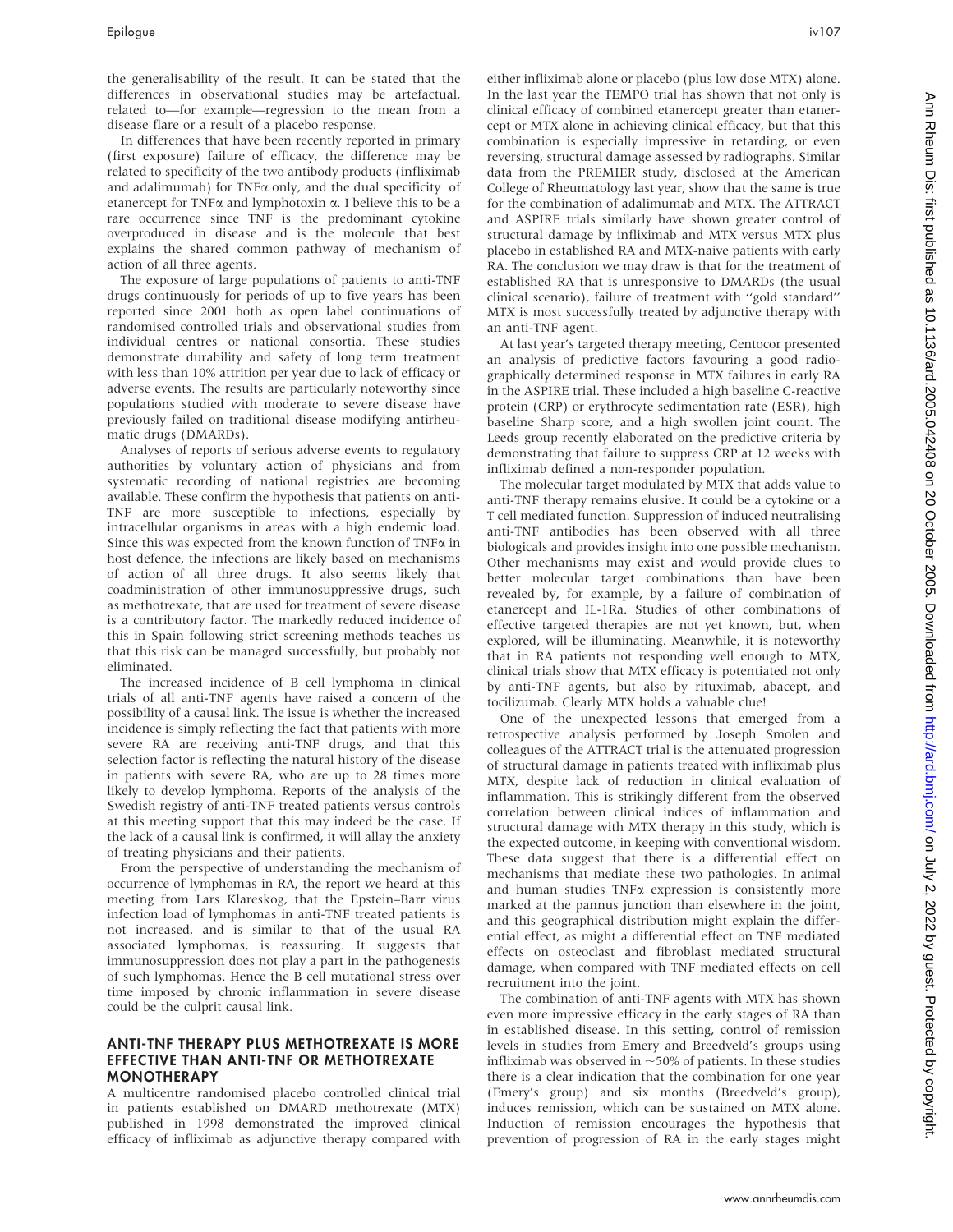the generalisability of the result. It can be stated that the differences in observational studies may be artefactual, related to—for example—regression to the mean from a disease flare or a result of a placebo response.

In differences that have been recently reported in primary (first exposure) failure of efficacy, the difference may be related to specificity of the two antibody products (infliximab and adalimumab) for TNF $\alpha$  only, and the dual specificity of etanercept for TNF $\alpha$  and lymphotoxin  $\alpha$ . I believe this to be a rare occurrence since TNF is the predominant cytokine overproduced in disease and is the molecule that best explains the shared common pathway of mechanism of action of all three agents.

The exposure of large populations of patients to anti-TNF drugs continuously for periods of up to five years has been reported since 2001 both as open label continuations of randomised controlled trials and observational studies from individual centres or national consortia. These studies demonstrate durability and safety of long term treatment with less than 10% attrition per year due to lack of efficacy or adverse events. The results are particularly noteworthy since populations studied with moderate to severe disease have previously failed on traditional disease modifying antirheumatic drugs (DMARDs).

Analyses of reports of serious adverse events to regulatory authorities by voluntary action of physicians and from systematic recording of national registries are becoming available. These confirm the hypothesis that patients on anti-TNF are more susceptible to infections, especially by intracellular organisms in areas with a high endemic load. Since this was expected from the known function of TNF $\alpha$  in host defence, the infections are likely based on mechanisms of action of all three drugs. It also seems likely that coadministration of other immunosuppressive drugs, such as methotrexate, that are used for treatment of severe disease is a contributory factor. The markedly reduced incidence of this in Spain following strict screening methods teaches us that this risk can be managed successfully, but probably not eliminated.

The increased incidence of B cell lymphoma in clinical trials of all anti-TNF agents have raised a concern of the possibility of a causal link. The issue is whether the increased incidence is simply reflecting the fact that patients with more severe RA are receiving anti-TNF drugs, and that this selection factor is reflecting the natural history of the disease in patients with severe RA, who are up to 28 times more likely to develop lymphoma. Reports of the analysis of the Swedish registry of anti-TNF treated patients versus controls at this meeting support that this may indeed be the case. If the lack of a causal link is confirmed, it will allay the anxiety of treating physicians and their patients.

From the perspective of understanding the mechanism of occurrence of lymphomas in RA, the report we heard at this meeting from Lars Klareskog, that the Epstein–Barr virus infection load of lymphomas in anti-TNF treated patients is not increased, and is similar to that of the usual RA associated lymphomas, is reassuring. It suggests that immunosuppression does not play a part in the pathogenesis of such lymphomas. Hence the B cell mutational stress over time imposed by chronic inflammation in severe disease could be the culprit causal link.

#### ANTI-TNF THERAPY PLUS METHOTREXATE IS MORE EFFECTIVE THAN ANTI-TNF OR METHOTREXATE MONOTHERAPY

A multicentre randomised placebo controlled clinical trial in patients established on DMARD methotrexate (MTX) published in 1998 demonstrated the improved clinical efficacy of infliximab as adjunctive therapy compared with either infliximab alone or placebo (plus low dose MTX) alone. In the last year the TEMPO trial has shown that not only is clinical efficacy of combined etanercept greater than etanercept or MTX alone in achieving clinical efficacy, but that this combination is especially impressive in retarding, or even reversing, structural damage assessed by radiographs. Similar data from the PREMIER study, disclosed at the American College of Rheumatology last year, show that the same is true for the combination of adalimumab and MTX. The ATTRACT and ASPIRE trials similarly have shown greater control of structural damage by infliximab and MTX versus MTX plus placebo in established RA and MTX-naive patients with early RA. The conclusion we may draw is that for the treatment of established RA that is unresponsive to DMARDs (the usual clinical scenario), failure of treatment with ''gold standard'' MTX is most successfully treated by adjunctive therapy with an anti-TNF agent.

At last year's targeted therapy meeting, Centocor presented an analysis of predictive factors favouring a good radiographically determined response in MTX failures in early RA in the ASPIRE trial. These included a high baseline C-reactive protein (CRP) or erythrocyte sedimentation rate (ESR), high baseline Sharp score, and a high swollen joint count. The Leeds group recently elaborated on the predictive criteria by demonstrating that failure to suppress CRP at 12 weeks with infliximab defined a non-responder population.

The molecular target modulated by MTX that adds value to anti-TNF therapy remains elusive. It could be a cytokine or a T cell mediated function. Suppression of induced neutralising anti-TNF antibodies has been observed with all three biologicals and provides insight into one possible mechanism. Other mechanisms may exist and would provide clues to better molecular target combinations than have been revealed by, for example, by a failure of combination of etanercept and IL-1Ra. Studies of other combinations of effective targeted therapies are not yet known, but, when explored, will be illuminating. Meanwhile, it is noteworthy that in RA patients not responding well enough to MTX, clinical trials show that MTX efficacy is potentiated not only by anti-TNF agents, but also by rituximab, abacept, and tocilizumab. Clearly MTX holds a valuable clue!

One of the unexpected lessons that emerged from a retrospective analysis performed by Joseph Smolen and colleagues of the ATTRACT trial is the attenuated progression of structural damage in patients treated with infliximab plus MTX, despite lack of reduction in clinical evaluation of inflammation. This is strikingly different from the observed correlation between clinical indices of inflammation and structural damage with MTX therapy in this study, which is the expected outcome, in keeping with conventional wisdom. These data suggest that there is a differential effect on mechanisms that mediate these two pathologies. In animal and human studies  $TNF\alpha$  expression is consistently more marked at the pannus junction than elsewhere in the joint, and this geographical distribution might explain the differential effect, as might a differential effect on TNF mediated effects on osteoclast and fibroblast mediated structural damage, when compared with TNF mediated effects on cell recruitment into the joint.

The combination of anti-TNF agents with MTX has shown even more impressive efficacy in the early stages of RA than in established disease. In this setting, control of remission levels in studies from Emery and Breedveld's groups using infliximab was observed in  $\sim$ 50% of patients. In these studies there is a clear indication that the combination for one year (Emery's group) and six months (Breedveld's group), induces remission, which can be sustained on MTX alone. Induction of remission encourages the hypothesis that prevention of progression of RA in the early stages might